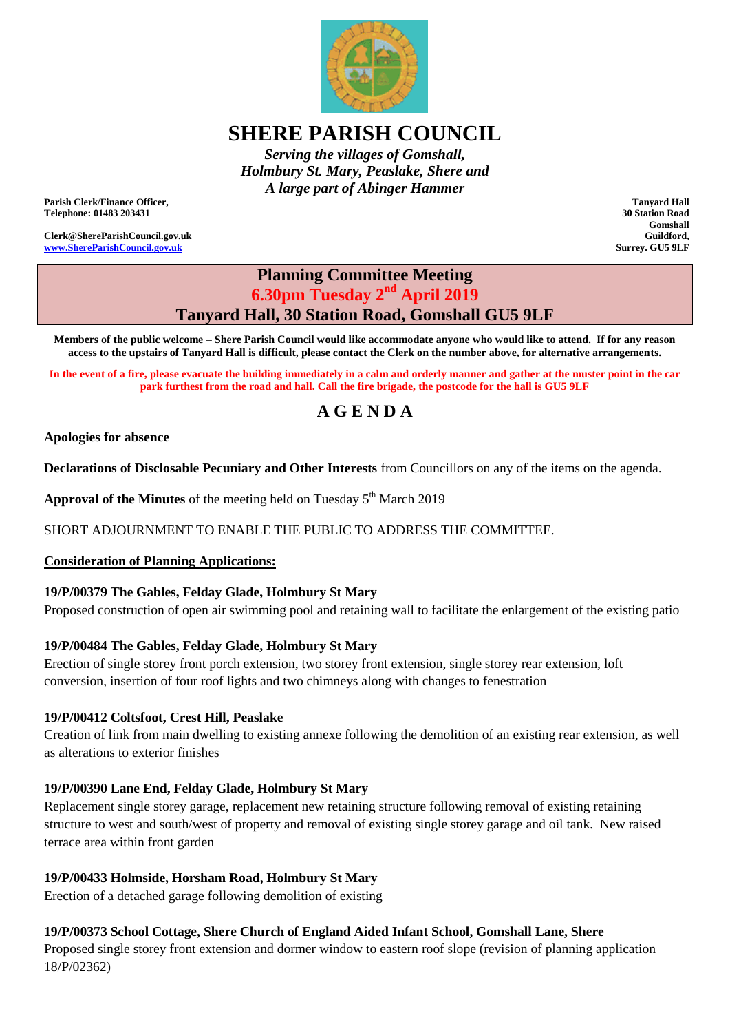

# **SHERE PARISH COUNCIL**

*Serving the villages of Gomshall, Holmbury St. Mary, Peaslake, Shere and A large part of Abinger Hammer*

**Parish Clerk/Finance Officer, Telephone: 01483 203431**

**Clerk@ShereParishCouncil.gov.uk [www.ShereParishCouncil.gov.uk](http://www.shereparishcouncil.gov.uk/)**

**Tanyard Hall 30 Station Road Gomshall Guildford, Surrey. GU5 9LF**

## **Planning Committee Meeting 6.30pm Tuesday 2 nd April 2019 Tanyard Hall, 30 Station Road, Gomshall GU5 9LF**

**Members of the public welcome – Shere Parish Council would like accommodate anyone who would like to attend. If for any reason access to the upstairs of Tanyard Hall is difficult, please contact the Clerk on the number above, for alternative arrangements.**

**In the event of a fire, please evacuate the building immediately in a calm and orderly manner and gather at the muster point in the car park furthest from the road and hall. Call the fire brigade, the postcode for the hall is GU5 9LF**

# **A G E N D A**

#### **Apologies for absence**

**Declarations of Disclosable Pecuniary and Other Interests** from Councillors on any of the items on the agenda.

Approval of the Minutes of the meeting held on Tuesday 5<sup>th</sup> March 2019

SHORT ADJOURNMENT TO ENABLE THE PUBLIC TO ADDRESS THE COMMITTEE.

#### **Consideration of Planning Applications:**

#### **19/P/00379 The Gables, Felday Glade, Holmbury St Mary**

Proposed construction of open air swimming pool and retaining wall to facilitate the enlargement of the existing patio

### **19/P/00484 The Gables, Felday Glade, Holmbury St Mary**

Erection of single storey front porch extension, two storey front extension, single storey rear extension, loft conversion, insertion of four roof lights and two chimneys along with changes to fenestration

#### **19/P/00412 Coltsfoot, Crest Hill, Peaslake**

Creation of link from main dwelling to existing annexe following the demolition of an existing rear extension, as well as alterations to exterior finishes

#### **19/P/00390 Lane End, Felday Glade, Holmbury St Mary**

Replacement single storey garage, replacement new retaining structure following removal of existing retaining structure to west and south/west of property and removal of existing single storey garage and oil tank. New raised terrace area within front garden

### **19/P/00433 Holmside, Horsham Road, Holmbury St Mary**

Erection of a detached garage following demolition of existing

#### **19/P/00373 School Cottage, Shere Church of England Aided Infant School, Gomshall Lane, Shere**

Proposed single storey front extension and dormer window to eastern roof slope (revision of planning application 18/P/02362)